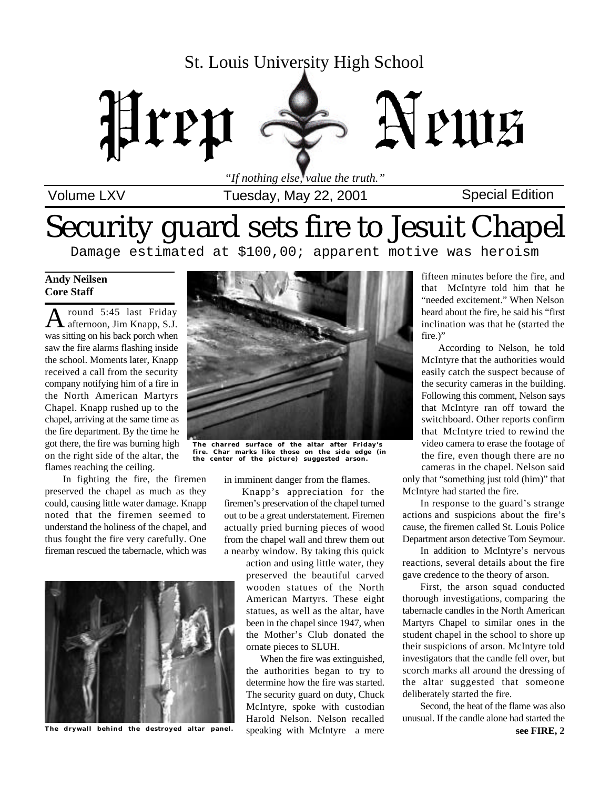## St. Louis University High School



*"If nothing else, value the truth."*

## Volume LXV Special Edition Tuesday, May 22, 2001

# Security guard sets fire to Jesuit Chapel

Damage estimated at \$100,00; apparent motive was heroism

#### **Andy Neilsen Core Staff**

A round 5:45 last Friday<br>A afternoon, Jim Knapp, S.J. round 5:45 last Friday was sitting on his back porch when saw the fire alarms flashing inside the school. Moments later, Knapp received a call from the security company notifying him of a fire in the North American Martyrs Chapel. Knapp rushed up to the chapel, arriving at the same time as the fire department. By the time he got there, the fire was burning high on the right side of the altar, the flames reaching the ceiling.

In fighting the fire, the firemen preserved the chapel as much as they could, causing little water damage. Knapp noted that the firemen seemed to understand the holiness of the chapel, and thus fought the fire very carefully. One fireman rescued the tabernacle, which was



**The drywall behind the destroyed altar panel.**



**The charred surface of the altar after Friday's fire. Char marks like those on the side edge (in the center of the picture) suggested arson.**

in imminent danger from the flames.

Knapp's appreciation for the firemen's preservation of the chapel turned out to be a great understatement. Firemen actually pried burning pieces of wood from the chapel wall and threw them out a nearby window. By taking this quick

> action and using little water, they preserved the beautiful carved wooden statues of the North American Martyrs. These eight statues, as well as the altar, have been in the chapel since 1947, when the Mother's Club donated the ornate pieces to SLUH.

> When the fire was extinguished, the authorities began to try to determine how the fire was started. The security guard on duty, Chuck McIntyre, spoke with custodian Harold Nelson. Nelson recalled speaking with McIntyre a mere

fifteen minutes before the fire, and that McIntyre told him that he "needed excitement." When Nelson heard about the fire, he said his "first inclination was that he (started the fire.)"

According to Nelson, he told McIntyre that the authorities would easily catch the suspect because of the security cameras in the building. Following this comment, Nelson says that McIntyre ran off toward the switchboard. Other reports confirm that McIntyre tried to rewind the video camera to erase the footage of the fire, even though there are no cameras in the chapel. Nelson said only that "something just told (him)" that

McIntyre had started the fire. In response to the guard's strange actions and suspicions about the fire's cause, the firemen called St. Louis Police Department arson detective Tom Seymour.

In addition to McIntyre's nervous reactions, several details about the fire gave credence to the theory of arson.

First, the arson squad conducted thorough investigations, comparing the tabernacle candles in the North American Martyrs Chapel to similar ones in the student chapel in the school to shore up their suspicions of arson. McIntyre told investigators that the candle fell over, but scorch marks all around the dressing of the altar suggested that someone deliberately started the fire.

Second, the heat of the flame was also unusual. If the candle alone had started the **see FIRE, 2**